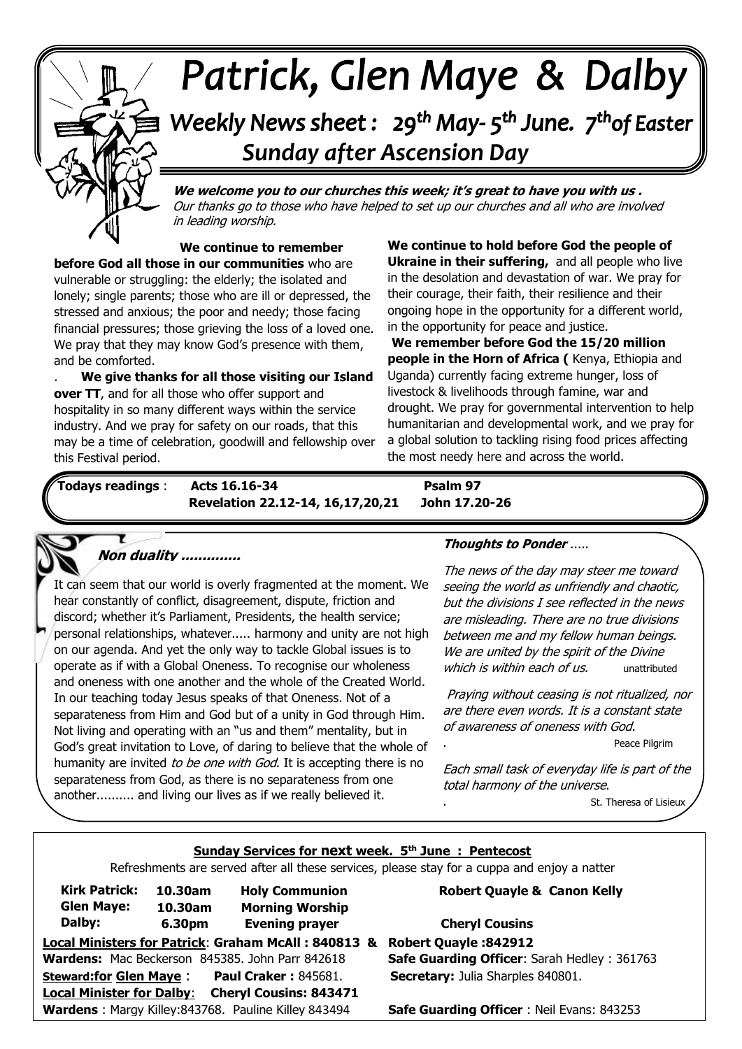# Patrick, Glen Maye & Dalby  $\sim$ Weekly News sheet: 29<sup>th</sup> May-5<sup>th</sup> June. 7<sup>th</sup>of Easter  *Sunday after Ascension Day*

 Our thanks go to those who have helped to set up our churches and all who are involved **We welcome you to our churches this week; it's great to have you with us .**  in leading worship.

**. We continue to remember before God all those in our communities** who are vulnerable or struggling: the elderly; the isolated and lonely; single parents; those who are ill or depressed, the stressed and anxious; the poor and needy; those facing financial pressures; those grieving the loss of a loved one. We pray that they may know God's presence with them,

and be comforted.<br> **We give thai over TT**, and for all those who offer support and<br>heapitality in as many different wave within the a  industry. And we pray for safety on our roads, that this . **We give thanks for all those visiting our Island**  hospitality in so many different ways within the service may be a time of celebration, goodwill and fellowship over this Festival period.

**We continue to hold before God the people of Ukraine in their suffering,** and all people who live in the desolation and devastation of war. We pray for their courage, their faith, their resilience and their ongoing hope in the opportunity for a different world, in the opportunity for peace and justice.

**We remember before God the 15/20 million people in the Horn of Africa (** Kenya, Ethiopia and Uganda) currently facing extreme hunger, loss of livestock & livelihoods through famine, war and drought. We pray for governmental intervention to help humanitarian and developmental work, and we pray for a global solution to tackling rising food prices affecting the most needy here and across the world.

Ĩ

Ι

*June: Trinity Sunday*  **Revelation 22.12-14, 16,17,20,21 John 17.20-26 Todays readings** : **Acts 16.16-34 Psalm 97**

l



 It can seem that our world is overly fragmented at the moment. We  personal relationships, whatever..... harmony and unity are not high  operate as if with a Global Oneness. To recognise our wholeness  and oneness with one another and the whole of the Created World.  separateness from Him and God but of a unity in God through Him.  God's great invitation to Love, of daring to believe that the whole of humanity are invited *to be one with God*. It is accepting there is no hear constantly of conflict, disagreement, dispute, friction and discord; whether it's Parliament, Presidents, the health service; on our agenda. And yet the only way to tackle Global issues is to In our teaching today Jesus speaks of that Oneness. Not of a Not living and operating with an "us and them" mentality, but in separateness from God, as there is no separateness from one another.......... and living our lives as if we really believed it.

### **Thoughts to Ponder** .....

The news of the day may steer me toward seeing the world as unfriendly and chaotic, but the divisions I see reflected in the news are misleading. There are no true divisions between me and my fellow human beings. We are united by the spirit of the Divine which is within each of us. The unattributed

Praying without ceasing is not ritualized, nor are there even words. It is a constant state of awareness of oneness with God.

. Peace Pilgrim

Each small task of everyday life is part of the total harmony of the universe.

St. Theresa of Lisieux

#### **Sunday Services for next week. 5th June : Pentecost**

Refreshments are served after all these services, please stay for a cuppa and enjoy a natter

| <b>Kirk Patrick:</b>                                              | 10.30am | <b>Holy Communion</b>                           |
|-------------------------------------------------------------------|---------|-------------------------------------------------|
| <b>Glen Maye:</b>                                                 | 10.30am | <b>Morning Worship</b>                          |
| Dalby:                                                            | 6.30pm  | <b>Evening prayer</b>                           |
| Local Ministers for Patrick: Graham McAll: 840813 8               |         |                                                 |
|                                                                   |         | Wardens: Mac Beckerson 845385. John Parr 842618 |
| <b>Steward:for Glen Maye:</b>                                     |         | <b>Paul Craker: 845681.</b>                     |
| <b>Local Minister for Dalby:</b><br><b>Cheryl Cousins: 843471</b> |         |                                                 |
| Wardens: Margy Killey:843768. Pauline Killey 843494               |         |                                                 |

#### **Robert Quayle & Canon Kelly**

**Local Ministers for Patrick**: **Graham McAll : 840813 & Robert Quayle :842912 Safe Guarding Officer: Sarah Hedley : 361763 Secretary:** Julia Sharples 840801. **Cheryl Cousins** 

**Safe Guarding Officer** : Neil Evans: 843253